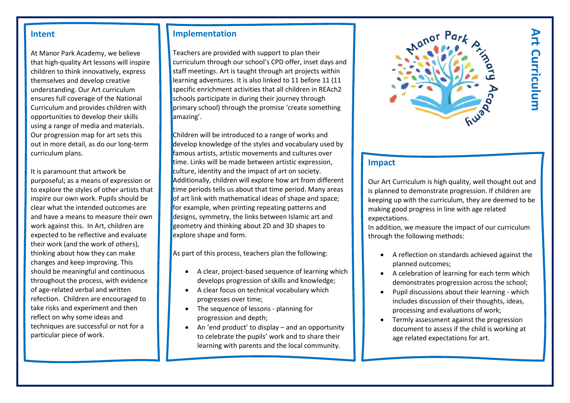#### **Intent**

At Manor Park Academy, we believe that high-quality Art lessons will inspire children to think innovatively, express themselves and develop creative understanding. Our Art curriculum ensures full coverage of the National Curriculum and provides children with opportunities to develop their skills using a range of media and materials. Our progression map for art sets this out in more detail, as do our long-term curriculum plans.

It is paramount that artwork be purposeful; as a means of expression or to explore the styles of other artists that inspire our own work. Pupils should be clear what the intended outcomes are and have a means to measure their own work against this. In Art, children are expected to be reflective and evaluate their work (and the work of others), thinking about how they can make changes and keep improving. This should be meaningful and continuous throughout the process, with evidence of age-related verbal and written refection. Children are encouraged to take risks and experiment and then reflect on why some ideas and techniques are successful or not for a particular piece of work.

#### **Implementation**

Teachers are provided with support to plan their curriculum through our school's CPD offer, inset days and staff meetings. Art is taught through art projects within learning adventures. It is also linked to 11 before 11 (11 specific enrichment activities that all children in REAch2 schools participate in during their journey through primary school) through the promise 'create something amazing'.

Children will be introduced to a range of works and develop knowledge of the styles and vocabulary used by famous artists, artistic movements and cultures over time. Links will be made between artistic expression, culture, identity and the impact of art on society. Additionally, children will explore how art from different time periods tells us about that time period. Many areas of art link with mathematical ideas of shape and space; for example, when printing repeating patterns and designs, symmetry, the links between Islamic art and geometry and thinking about 2D and 3D shapes to explore shape and form.

As part of this process, teachers plan the following:

- A clear, project-based sequence of learning which develops progression of skills and knowledge;
- A clear focus on technical vocabulary which progresses over time;
- The sequence of lessons planning for progression and depth;
- An 'end product' to display and an opportunity to celebrate the pupils' work and to share their learning with parents and the local community.



# **Art Curriculum Art Curriculum**

#### **Impact**

Our Art Curriculum is high quality, well thought out and is planned to demonstrate progression. If children are keeping up with the curriculum, they are deemed to be making good progress in line with age related expectations.

In addition, we measure the impact of our curriculum through the following methods:

- A reflection on standards achieved against the planned outcomes;
- A celebration of learning for each term which demonstrates progression across the school;
- Pupil discussions about their learning which includes discussion of their thoughts, ideas, processing and evaluations of work;
- Termly assessment against the progression document to assess if the child is working at age related expectations for art.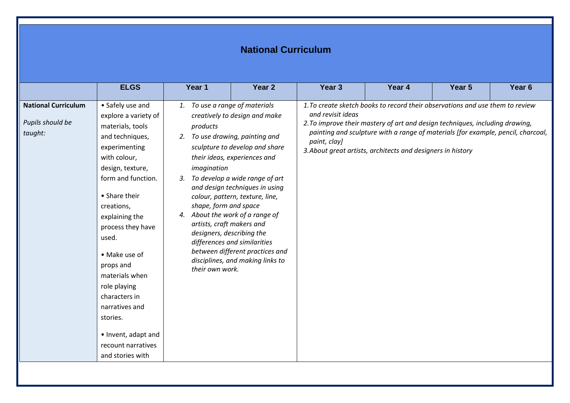### **National Curriculum**

|                                                           | <b>ELGS</b>                                                                                                                                                                                                                                                                                                                                                                                                               | Year 1                                                                                                                                                                                                         | Year <sub>2</sub>                                                                                                                                                                                                                                                                                                                             | Year <sub>3</sub>                 | Year 4                                                                                                                                                                                                                                                                                                           | Year <sub>5</sub> | Year <sub>6</sub> |
|-----------------------------------------------------------|---------------------------------------------------------------------------------------------------------------------------------------------------------------------------------------------------------------------------------------------------------------------------------------------------------------------------------------------------------------------------------------------------------------------------|----------------------------------------------------------------------------------------------------------------------------------------------------------------------------------------------------------------|-----------------------------------------------------------------------------------------------------------------------------------------------------------------------------------------------------------------------------------------------------------------------------------------------------------------------------------------------|-----------------------------------|------------------------------------------------------------------------------------------------------------------------------------------------------------------------------------------------------------------------------------------------------------------------------------------------------------------|-------------------|-------------------|
| <b>National Curriculum</b><br>Pupils should be<br>taught: | • Safely use and<br>explore a variety of<br>materials, tools<br>and techniques,<br>experimenting<br>with colour,<br>design, texture,<br>form and function.<br>• Share their<br>creations,<br>explaining the<br>process they have<br>used.<br>• Make use of<br>props and<br>materials when<br>role playing<br>characters in<br>narratives and<br>stories.<br>• Invent, adapt and<br>recount narratives<br>and stories with | 1. To use a range of materials<br>products<br>2.<br>imagination<br>3.<br>shape, form and space<br>4. About the work of a range of<br>artists, craft makers and<br>designers, describing the<br>their own work. | creatively to design and make<br>To use drawing, painting and<br>sculpture to develop and share<br>their ideas, experiences and<br>To develop a wide range of art<br>and design techniques in using<br>colour, pattern, texture, line,<br>differences and similarities<br>between different practices and<br>disciplines, and making links to | and revisit ideas<br>paint, clay] | 1. To create sketch books to record their observations and use them to review<br>2. To improve their mastery of art and design techniques, including drawing,<br>painting and sculpture with a range of materials [for example, pencil, charcoal,<br>3. About great artists, architects and designers in history |                   |                   |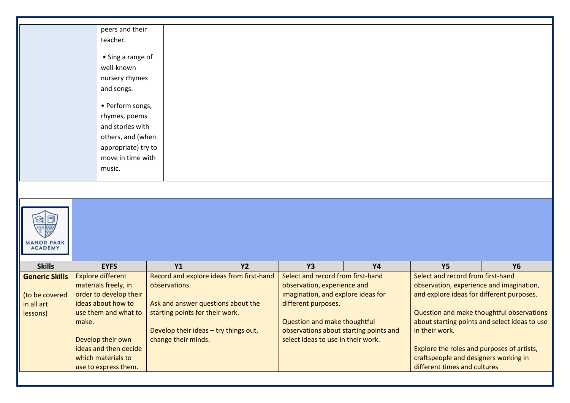|                                           | peers and their                            |                                       |                                          |                                        |           |                                                                       |           |
|-------------------------------------------|--------------------------------------------|---------------------------------------|------------------------------------------|----------------------------------------|-----------|-----------------------------------------------------------------------|-----------|
|                                           | teacher.                                   |                                       |                                          |                                        |           |                                                                       |           |
|                                           |                                            |                                       |                                          |                                        |           |                                                                       |           |
|                                           | • Sing a range of                          |                                       |                                          |                                        |           |                                                                       |           |
|                                           | well-known                                 |                                       |                                          |                                        |           |                                                                       |           |
|                                           | nursery rhymes                             |                                       |                                          |                                        |           |                                                                       |           |
|                                           | and songs.                                 |                                       |                                          |                                        |           |                                                                       |           |
|                                           |                                            |                                       |                                          |                                        |           |                                                                       |           |
|                                           | • Perform songs,                           |                                       |                                          |                                        |           |                                                                       |           |
|                                           | rhymes, poems                              |                                       |                                          |                                        |           |                                                                       |           |
|                                           | and stories with                           |                                       |                                          |                                        |           |                                                                       |           |
|                                           | others, and (when                          |                                       |                                          |                                        |           |                                                                       |           |
|                                           | appropriate) try to                        |                                       |                                          |                                        |           |                                                                       |           |
|                                           | move in time with                          |                                       |                                          |                                        |           |                                                                       |           |
|                                           | music.                                     |                                       |                                          |                                        |           |                                                                       |           |
|                                           |                                            |                                       |                                          |                                        |           |                                                                       |           |
|                                           |                                            |                                       |                                          |                                        |           |                                                                       |           |
|                                           |                                            |                                       |                                          |                                        |           |                                                                       |           |
|                                           |                                            |                                       |                                          |                                        |           |                                                                       |           |
| <b><i>ANOR PARK</i></b><br><b>ACADEMY</b> |                                            |                                       |                                          |                                        |           |                                                                       |           |
|                                           |                                            |                                       |                                          |                                        |           |                                                                       |           |
| <b>Skills</b>                             | <b>EYFS</b>                                | <b>Y1</b>                             | <b>Y2</b>                                | <b>Y3</b>                              | <b>Y4</b> | <b>Y5</b>                                                             | <b>Y6</b> |
| <b>Generic Skills</b>                     | <b>Explore different</b>                   |                                       | Record and explore ideas from first-hand | Select and record from first-hand      |           | Select and record from first-hand                                     |           |
|                                           | materials freely, in                       | observations.                         |                                          | observation, experience and            |           | observation, experience and imagination,                              |           |
| (to be covered                            | order to develop their                     |                                       |                                          | imagination, and explore ideas for     |           | and explore ideas for different purposes.                             |           |
| in all art                                | ideas about how to                         | Ask and answer questions about the    |                                          | different purposes.                    |           |                                                                       |           |
| lessons)                                  | use them and what to<br>make.              | starting points for their work.       |                                          | Question and make thoughtful           |           | Question and make thoughtful observations                             |           |
|                                           |                                            |                                       |                                          |                                        |           | about starting points and select ideas to use                         |           |
|                                           |                                            |                                       |                                          |                                        |           |                                                                       |           |
|                                           |                                            | Develop their ideas - try things out, |                                          | observations about starting points and |           | in their work.                                                        |           |
|                                           | Develop their own                          | change their minds.                   |                                          | select ideas to use in their work.     |           |                                                                       |           |
|                                           | ideas and then decide                      |                                       |                                          |                                        |           | Explore the roles and purposes of artists,                            |           |
|                                           | which materials to<br>use to express them. |                                       |                                          |                                        |           | craftspeople and designers working in<br>different times and cultures |           |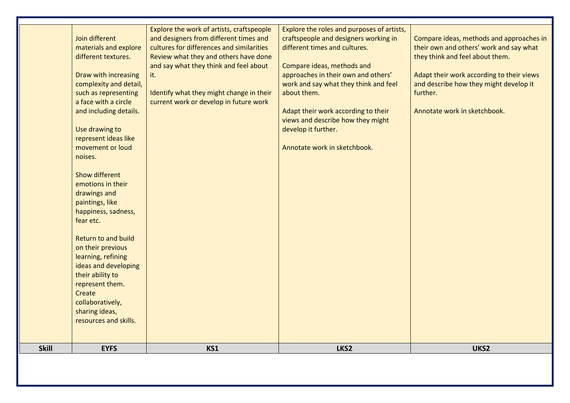|              | <b>EYFS</b>                                                                                                                                                                                                                                                                                                                 | KS1                                                                                                                                                                                                                                                                                                              | LKS2                                                                                                                                                                                                                                                                                                                                                                                 | UKS2                                                                                                                                                                                                                                                      |
|--------------|-----------------------------------------------------------------------------------------------------------------------------------------------------------------------------------------------------------------------------------------------------------------------------------------------------------------------------|------------------------------------------------------------------------------------------------------------------------------------------------------------------------------------------------------------------------------------------------------------------------------------------------------------------|--------------------------------------------------------------------------------------------------------------------------------------------------------------------------------------------------------------------------------------------------------------------------------------------------------------------------------------------------------------------------------------|-----------------------------------------------------------------------------------------------------------------------------------------------------------------------------------------------------------------------------------------------------------|
| <b>Skill</b> | Show different<br>emotions in their<br>drawings and<br>paintings, like<br>happiness, sadness,<br>fear etc.<br><b>Return to and build</b><br>on their previous<br>learning, refining<br>ideas and developing<br>their ability to<br>represent them.<br>Create<br>collaboratively,<br>sharing ideas,<br>resources and skills. |                                                                                                                                                                                                                                                                                                                  |                                                                                                                                                                                                                                                                                                                                                                                      |                                                                                                                                                                                                                                                           |
|              | Join different<br>materials and explore<br>different textures.<br>Draw with increasing<br>complexity and detail,<br>such as representing<br>a face with a circle<br>and including details.<br>Use drawing to<br>represent ideas like<br>movement or loud<br>noises.                                                         | Explore the work of artists, craftspeople<br>and designers from different times and<br>cultures for differences and similarities<br>Review what they and others have done<br>and say what they think and feel about<br>it.<br>Identify what they might change in their<br>current work or develop in future work | Explore the roles and purposes of artists,<br>craftspeople and designers working in<br>different times and cultures.<br>Compare ideas, methods and<br>approaches in their own and others'<br>work and say what they think and feel<br>about them.<br>Adapt their work according to their<br>views and describe how they might<br>develop it further.<br>Annotate work in sketchbook. | Compare ideas, methods and approaches in<br>their own and others' work and say what<br>they think and feel about them.<br>Adapt their work according to their views<br>and describe how they might develop it<br>further.<br>Annotate work in sketchbook. |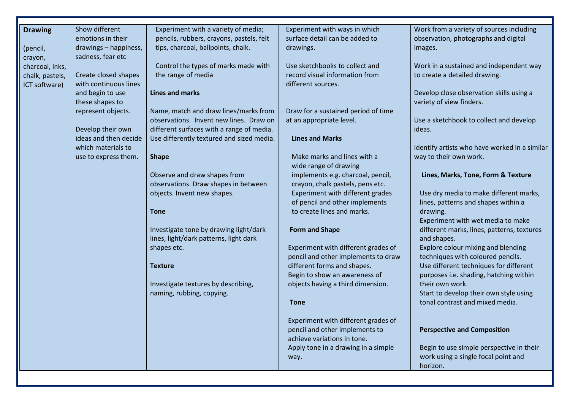| <b>Drawing</b>  | Show different        | Experiment with a variety of media;       | Experiment with ways in which                                      | Work from a variety of sources including                                      |
|-----------------|-----------------------|-------------------------------------------|--------------------------------------------------------------------|-------------------------------------------------------------------------------|
|                 | emotions in their     | pencils, rubbers, crayons, pastels, felt  | surface detail can be added to                                     | observation, photographs and digital                                          |
| (pencil,        | drawings - happiness, | tips, charcoal, ballpoints, chalk.        | drawings.                                                          | images.                                                                       |
| crayon,         | sadness, fear etc     |                                           |                                                                    |                                                                               |
| charcoal, inks, |                       | Control the types of marks made with      | Use sketchbooks to collect and                                     | Work in a sustained and independent way                                       |
| chalk, pastels, | Create closed shapes  | the range of media                        | record visual information from                                     | to create a detailed drawing.                                                 |
| ICT software)   | with continuous lines |                                           | different sources.                                                 |                                                                               |
|                 | and begin to use      | <b>Lines and marks</b>                    |                                                                    | Develop close observation skills using a                                      |
|                 | these shapes to       |                                           |                                                                    | variety of view finders.                                                      |
|                 | represent objects.    | Name, match and draw lines/marks from     | Draw for a sustained period of time                                |                                                                               |
|                 |                       | observations. Invent new lines. Draw on   | at an appropriate level.                                           | Use a sketchbook to collect and develop                                       |
|                 | Develop their own     | different surfaces with a range of media. |                                                                    | ideas.                                                                        |
|                 | ideas and then decide | Use differently textured and sized media. | <b>Lines and Marks</b>                                             |                                                                               |
|                 | which materials to    |                                           |                                                                    | Identify artists who have worked in a similar                                 |
|                 | use to express them.  | <b>Shape</b>                              | Make marks and lines with a                                        | way to their own work.                                                        |
|                 |                       |                                           | wide range of drawing                                              |                                                                               |
|                 |                       | Observe and draw shapes from              | implements e.g. charcoal, pencil,                                  | Lines, Marks, Tone, Form & Texture                                            |
|                 |                       | observations. Draw shapes in between      | crayon, chalk pastels, pens etc.                                   |                                                                               |
|                 |                       | objects. Invent new shapes.               | Experiment with different grades<br>of pencil and other implements | Use dry media to make different marks,<br>lines, patterns and shapes within a |
|                 |                       | <b>Tone</b>                               | to create lines and marks.                                         | drawing.                                                                      |
|                 |                       |                                           |                                                                    | Experiment with wet media to make                                             |
|                 |                       | Investigate tone by drawing light/dark    | <b>Form and Shape</b>                                              | different marks, lines, patterns, textures                                    |
|                 |                       | lines, light/dark patterns, light dark    |                                                                    | and shapes.                                                                   |
|                 |                       | shapes etc.                               | Experiment with different grades of                                | Explore colour mixing and blending                                            |
|                 |                       |                                           | pencil and other implements to draw                                | techniques with coloured pencils.                                             |
|                 |                       | <b>Texture</b>                            | different forms and shapes.                                        | Use different techniques for different                                        |
|                 |                       |                                           | Begin to show an awareness of                                      | purposes i.e. shading, hatching within                                        |
|                 |                       | Investigate textures by describing,       | objects having a third dimension.                                  | their own work.                                                               |
|                 |                       | naming, rubbing, copying.                 |                                                                    | Start to develop their own style using                                        |
|                 |                       |                                           | <b>Tone</b>                                                        | tonal contrast and mixed media.                                               |
|                 |                       |                                           | Experiment with different grades of                                |                                                                               |
|                 |                       |                                           | pencil and other implements to                                     | <b>Perspective and Composition</b>                                            |
|                 |                       |                                           | achieve variations in tone.                                        |                                                                               |
|                 |                       |                                           | Apply tone in a drawing in a simple                                | Begin to use simple perspective in their                                      |
|                 |                       |                                           | way.                                                               | work using a single focal point and                                           |
|                 |                       |                                           |                                                                    | horizon.                                                                      |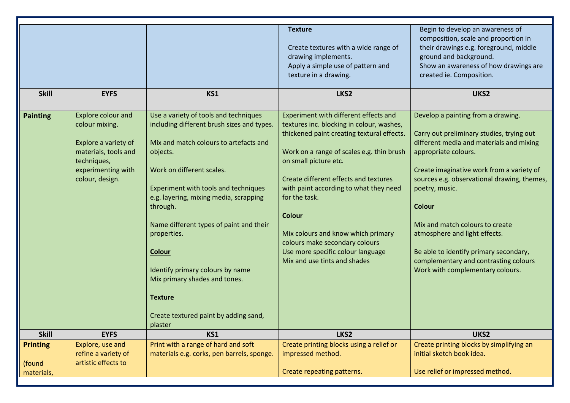|                                         |                                                                                                                                              |                                                                                                                                                                                                                                                                                                                                                                                                                                                                                            | <b>Texture</b><br>Create textures with a wide range of<br>drawing implements.<br>Apply a simple use of pattern and<br>texture in a drawing.                                                                                                                                                                                                                                                                                                                              | Begin to develop an awareness of<br>composition, scale and proportion in<br>their drawings e.g. foreground, middle<br>ground and background.<br>Show an awareness of how drawings are<br>created ie. Composition.                                                                                                                                                                                                                                                             |
|-----------------------------------------|----------------------------------------------------------------------------------------------------------------------------------------------|--------------------------------------------------------------------------------------------------------------------------------------------------------------------------------------------------------------------------------------------------------------------------------------------------------------------------------------------------------------------------------------------------------------------------------------------------------------------------------------------|--------------------------------------------------------------------------------------------------------------------------------------------------------------------------------------------------------------------------------------------------------------------------------------------------------------------------------------------------------------------------------------------------------------------------------------------------------------------------|-------------------------------------------------------------------------------------------------------------------------------------------------------------------------------------------------------------------------------------------------------------------------------------------------------------------------------------------------------------------------------------------------------------------------------------------------------------------------------|
| <b>Skill</b>                            | <b>EYFS</b>                                                                                                                                  | KS1                                                                                                                                                                                                                                                                                                                                                                                                                                                                                        | LKS2                                                                                                                                                                                                                                                                                                                                                                                                                                                                     | UKS2                                                                                                                                                                                                                                                                                                                                                                                                                                                                          |
| <b>Painting</b>                         | Explore colour and<br>colour mixing.<br>Explore a variety of<br>materials, tools and<br>techniques,<br>experimenting with<br>colour, design. | Use a variety of tools and techniques<br>including different brush sizes and types.<br>Mix and match colours to artefacts and<br>objects.<br>Work on different scales.<br>Experiment with tools and techniques<br>e.g. layering, mixing media, scrapping<br>through.<br>Name different types of paint and their<br>properties.<br><b>Colour</b><br>Identify primary colours by name<br>Mix primary shades and tones.<br><b>Texture</b><br>Create textured paint by adding sand,<br>plaster | Experiment with different effects and<br>textures inc. blocking in colour, washes,<br>thickened paint creating textural effects.<br>Work on a range of scales e.g. thin brush<br>on small picture etc.<br>Create different effects and textures<br>with paint according to what they need<br>for the task.<br><b>Colour</b><br>Mix colours and know which primary<br>colours make secondary colours<br>Use more specific colour language<br>Mix and use tints and shades | Develop a painting from a drawing.<br>Carry out preliminary studies, trying out<br>different media and materials and mixing<br>appropriate colours.<br>Create imaginative work from a variety of<br>sources e.g. observational drawing, themes,<br>poetry, music.<br><b>Colour</b><br>Mix and match colours to create<br>atmosphere and light effects.<br>Be able to identify primary secondary,<br>complementary and contrasting colours<br>Work with complementary colours. |
| <b>Skill</b>                            | <b>EYFS</b>                                                                                                                                  | KS1                                                                                                                                                                                                                                                                                                                                                                                                                                                                                        | LKS2                                                                                                                                                                                                                                                                                                                                                                                                                                                                     | UKS2                                                                                                                                                                                                                                                                                                                                                                                                                                                                          |
| <b>Printing</b><br>(found<br>materials, | Explore, use and<br>refine a variety of<br>artistic effects to                                                                               | Print with a range of hard and soft<br>materials e.g. corks, pen barrels, sponge.                                                                                                                                                                                                                                                                                                                                                                                                          | Create printing blocks using a relief or<br>impressed method.<br>Create repeating patterns.                                                                                                                                                                                                                                                                                                                                                                              | Create printing blocks by simplifying an<br>initial sketch book idea.<br>Use relief or impressed method.                                                                                                                                                                                                                                                                                                                                                                      |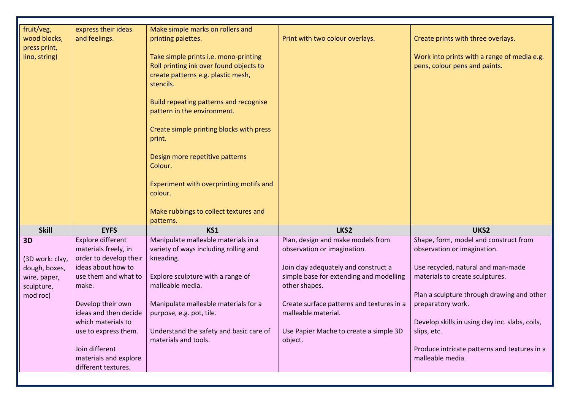| fruit/veg,      | express their ideas      | Make simple marks on rollers and         |                                           |                                                 |
|-----------------|--------------------------|------------------------------------------|-------------------------------------------|-------------------------------------------------|
| wood blocks,    | and feelings.            | printing palettes.                       | Print with two colour overlays.           | Create prints with three overlays.              |
| press print,    |                          |                                          |                                           |                                                 |
| lino, string)   |                          | Take simple prints i.e. mono-printing    |                                           | Work into prints with a range of media e.g.     |
|                 |                          | Roll printing ink over found objects to  |                                           | pens, colour pens and paints.                   |
|                 |                          | create patterns e.g. plastic mesh,       |                                           |                                                 |
|                 |                          | stencils.                                |                                           |                                                 |
|                 |                          |                                          |                                           |                                                 |
|                 |                          | Build repeating patterns and recognise   |                                           |                                                 |
|                 |                          | pattern in the environment.              |                                           |                                                 |
|                 |                          |                                          |                                           |                                                 |
|                 |                          |                                          |                                           |                                                 |
|                 |                          | Create simple printing blocks with press |                                           |                                                 |
|                 |                          | print.                                   |                                           |                                                 |
|                 |                          |                                          |                                           |                                                 |
|                 |                          | Design more repetitive patterns          |                                           |                                                 |
|                 |                          | Colour.                                  |                                           |                                                 |
|                 |                          |                                          |                                           |                                                 |
|                 |                          | Experiment with overprinting motifs and  |                                           |                                                 |
|                 |                          | colour.                                  |                                           |                                                 |
|                 |                          |                                          |                                           |                                                 |
|                 |                          | Make rubbings to collect textures and    |                                           |                                                 |
|                 |                          | patterns.                                |                                           |                                                 |
| <b>Skill</b>    | <b>EYFS</b>              | KS1                                      | LKS2                                      | UKS2                                            |
| 3D              | <b>Explore different</b> | Manipulate malleable materials in a      | Plan, design and make models from         | Shape, form, model and construct from           |
|                 | materials freely, in     | variety of ways including rolling and    | observation or imagination.               | observation or imagination.                     |
| (3D work: clay, | order to develop their   | kneading.                                |                                           |                                                 |
| dough, boxes,   | ideas about how to       |                                          | Join clay adequately and construct a      | Use recycled, natural and man-made              |
| wire, paper,    | use them and what to     | Explore sculpture with a range of        | simple base for extending and modelling   | materials to create sculptures.                 |
| sculpture,      | make.                    | malleable media.                         | other shapes.                             |                                                 |
| mod roc)        |                          |                                          |                                           | Plan a sculpture through drawing and other      |
|                 | Develop their own        | Manipulate malleable materials for a     | Create surface patterns and textures in a | preparatory work.                               |
|                 | ideas and then decide    | purpose, e.g. pot, tile.                 | malleable material.                       |                                                 |
|                 | which materials to       |                                          |                                           | Develop skills in using clay inc. slabs, coils, |
|                 | use to express them.     | Understand the safety and basic care of  | Use Papier Mache to create a simple 3D    | slips, etc.                                     |
|                 |                          | materials and tools.                     | object.                                   |                                                 |
|                 | Join different           |                                          |                                           | Produce intricate patterns and textures in a    |
|                 | materials and explore    |                                          |                                           | malleable media.                                |
|                 | different textures.      |                                          |                                           |                                                 |
|                 |                          |                                          |                                           |                                                 |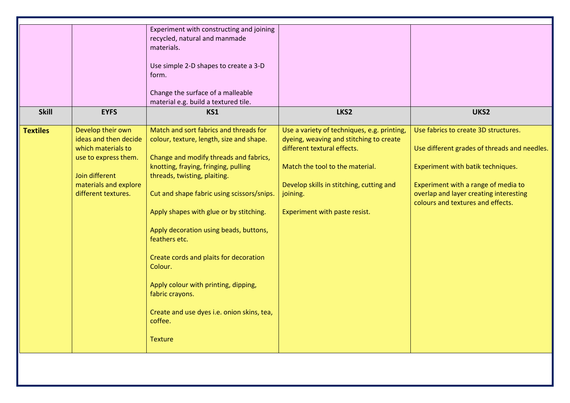| <b>Skill</b>    | <b>EYFS</b>                                                                                                                                                | Experiment with constructing and joining<br>recycled, natural and manmade<br>materials.<br>Use simple 2-D shapes to create a 3-D<br>form.<br>Change the surface of a malleable<br>material e.g. build a textured tile.<br>KS1                                                                                                                                                                                                                                                                                                                       | LKS2                                                                                                                                                                                                                                              | UKS2                                                                                                                                                                                                                                            |
|-----------------|------------------------------------------------------------------------------------------------------------------------------------------------------------|-----------------------------------------------------------------------------------------------------------------------------------------------------------------------------------------------------------------------------------------------------------------------------------------------------------------------------------------------------------------------------------------------------------------------------------------------------------------------------------------------------------------------------------------------------|---------------------------------------------------------------------------------------------------------------------------------------------------------------------------------------------------------------------------------------------------|-------------------------------------------------------------------------------------------------------------------------------------------------------------------------------------------------------------------------------------------------|
| <b>Textiles</b> | Develop their own<br>ideas and then decide<br>which materials to<br>use to express them.<br>Join different<br>materials and explore<br>different textures. | Match and sort fabrics and threads for<br>colour, texture, length, size and shape.<br>Change and modify threads and fabrics,<br>knotting, fraying, fringing, pulling<br>threads, twisting, plaiting.<br>Cut and shape fabric using scissors/snips.<br>Apply shapes with glue or by stitching.<br>Apply decoration using beads, buttons,<br>feathers etc.<br>Create cords and plaits for decoration<br>Colour.<br>Apply colour with printing, dipping,<br>fabric crayons.<br>Create and use dyes i.e. onion skins, tea,<br>coffee.<br><b>Texture</b> | Use a variety of techniques, e.g. printing,<br>dyeing, weaving and stitching to create<br>different textural effects.<br>Match the tool to the material.<br>Develop skills in stitching, cutting and<br>joining.<br>Experiment with paste resist. | Use fabrics to create 3D structures.<br>Use different grades of threads and needles.<br>Experiment with batik techniques.<br>Experiment with a range of media to<br>overlap and layer creating interesting<br>colours and textures and effects. |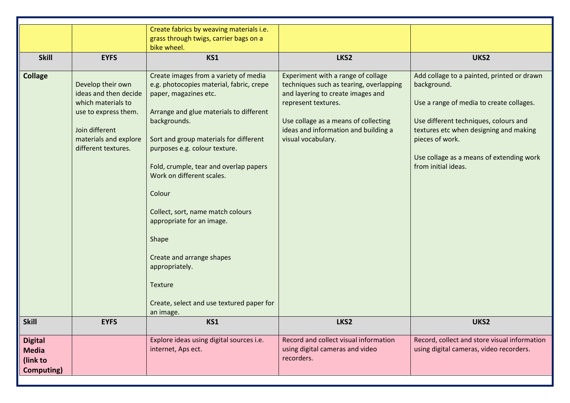|                   |                       | Create fabrics by weaving materials i.e.  |                                         |                                              |
|-------------------|-----------------------|-------------------------------------------|-----------------------------------------|----------------------------------------------|
|                   |                       | grass through twigs, carrier bags on a    |                                         |                                              |
|                   |                       | bike wheel.                               |                                         |                                              |
| <b>Skill</b>      | <b>EYFS</b>           | KS1                                       | LKS2                                    | UKS2                                         |
|                   |                       |                                           |                                         |                                              |
| <b>Collage</b>    |                       | Create images from a variety of media     | Experiment with a range of collage      | Add collage to a painted, printed or drawn   |
|                   | Develop their own     | e.g. photocopies material, fabric, crepe  | techniques such as tearing, overlapping | background.                                  |
|                   | ideas and then decide | paper, magazines etc.                     | and layering to create images and       |                                              |
|                   | which materials to    |                                           | represent textures.                     | Use a range of media to create collages.     |
|                   | use to express them.  | Arrange and glue materials to different   |                                         |                                              |
|                   |                       | backgrounds.                              | Use collage as a means of collecting    | Use different techniques, colours and        |
|                   | Join different        |                                           | ideas and information and building a    | textures etc when designing and making       |
|                   | materials and explore | Sort and group materials for different    | visual vocabulary.                      | pieces of work.                              |
|                   | different textures.   | purposes e.g. colour texture.             |                                         |                                              |
|                   |                       |                                           |                                         | Use collage as a means of extending work     |
|                   |                       | Fold, crumple, tear and overlap papers    |                                         | from initial ideas.                          |
|                   |                       | Work on different scales.                 |                                         |                                              |
|                   |                       |                                           |                                         |                                              |
|                   |                       | Colour                                    |                                         |                                              |
|                   |                       |                                           |                                         |                                              |
|                   |                       | Collect, sort, name match colours         |                                         |                                              |
|                   |                       | appropriate for an image.                 |                                         |                                              |
|                   |                       |                                           |                                         |                                              |
|                   |                       | Shape                                     |                                         |                                              |
|                   |                       |                                           |                                         |                                              |
|                   |                       | Create and arrange shapes                 |                                         |                                              |
|                   |                       | appropriately.                            |                                         |                                              |
|                   |                       |                                           |                                         |                                              |
|                   |                       | Texture                                   |                                         |                                              |
|                   |                       | Create, select and use textured paper for |                                         |                                              |
|                   |                       | an image.                                 |                                         |                                              |
| <b>Skill</b>      | <b>EYFS</b>           | KS1                                       | LKS2                                    | UKS2                                         |
|                   |                       |                                           |                                         |                                              |
| <b>Digital</b>    |                       | Explore ideas using digital sources i.e.  | Record and collect visual information   | Record, collect and store visual information |
| <b>Media</b>      |                       | internet, Aps ect.                        | using digital cameras and video         | using digital cameras, video recorders.      |
| (link to          |                       |                                           | recorders.                              |                                              |
| <b>Computing)</b> |                       |                                           |                                         |                                              |
|                   |                       |                                           |                                         |                                              |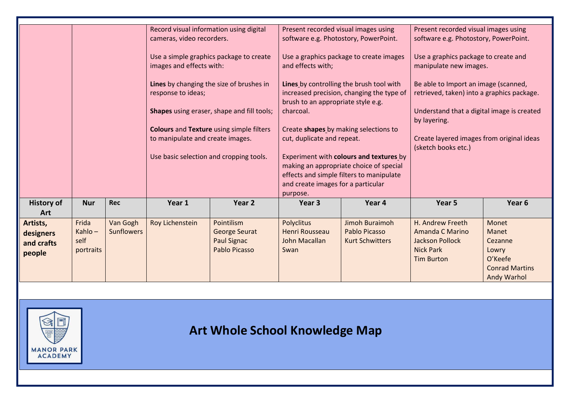|                   |            |                   | Record visual information using digital |                                                 | Present recorded visual images using    |                                           | Present recorded visual images using       |                       |
|-------------------|------------|-------------------|-----------------------------------------|-------------------------------------------------|-----------------------------------------|-------------------------------------------|--------------------------------------------|-----------------------|
|                   |            |                   | cameras, video recorders.               |                                                 | software e.g. Photostory, PowerPoint.   |                                           | software e.g. Photostory, PowerPoint.      |                       |
|                   |            |                   |                                         |                                                 |                                         |                                           |                                            |                       |
|                   |            |                   |                                         | Use a simple graphics package to create         |                                         | Use a graphics package to create images   | Use a graphics package to create and       |                       |
|                   |            |                   | images and effects with:                |                                                 | and effects with;                       |                                           | manipulate new images.                     |                       |
|                   |            |                   |                                         |                                                 |                                         |                                           |                                            |                       |
|                   |            |                   |                                         | Lines by changing the size of brushes in        |                                         | Lines by controlling the brush tool with  | Be able to Import an image (scanned,       |                       |
|                   |            |                   | response to ideas;                      |                                                 |                                         | increased precision, changing the type of | retrieved, taken) into a graphics package. |                       |
|                   |            |                   |                                         |                                                 | brush to an appropriate style e.g.      |                                           |                                            |                       |
|                   |            |                   |                                         | Shapes using eraser, shape and fill tools;      | charcoal.                               |                                           | Understand that a digital image is created |                       |
|                   |            |                   |                                         |                                                 |                                         |                                           | by layering.                               |                       |
|                   |            |                   |                                         | <b>Colours and Texture using simple filters</b> | Create shapes by making selections to   |                                           |                                            |                       |
|                   |            |                   | to manipulate and create images.        |                                                 | cut, duplicate and repeat.              |                                           | Create layered images from original ideas  |                       |
|                   |            |                   |                                         |                                                 |                                         |                                           | (sketch books etc.)                        |                       |
|                   |            |                   | Use basic selection and cropping tools. |                                                 | Experiment with colours and textures by |                                           |                                            |                       |
|                   |            |                   |                                         |                                                 | making an appropriate choice of special |                                           |                                            |                       |
|                   |            |                   |                                         |                                                 |                                         | effects and simple filters to manipulate  |                                            |                       |
|                   |            |                   |                                         |                                                 | and create images for a particular      |                                           |                                            |                       |
|                   |            |                   |                                         |                                                 | purpose.                                |                                           |                                            |                       |
| <b>History of</b> | <b>Nur</b> | <b>Rec</b>        | Year 1                                  | Year 2                                          | Year <sub>3</sub>                       | Year 4                                    | Year <sub>5</sub>                          | Year <sub>6</sub>     |
| Art               |            |                   |                                         |                                                 |                                         |                                           |                                            |                       |
| Artists,          | Frida      | Van Gogh          | Roy Lichenstein                         | Pointilism                                      | <b>Polyclitus</b>                       | Jimoh Buraimoh                            | H. Andrew Freeth                           | Monet                 |
|                   | Kahlo-     | <b>Sunflowers</b> |                                         | <b>George Seurat</b>                            | <b>Henri Rousseau</b>                   | <b>Pablo Picasso</b>                      | <b>Amanda C Marino</b>                     | Manet                 |
| designers         | self       |                   |                                         | <b>Paul Signac</b>                              | John Macallan                           | <b>Kurt Schwitters</b>                    | <b>Jackson Pollock</b>                     | Cezanne               |
| and crafts        | portraits  |                   |                                         | <b>Pablo Picasso</b>                            | Swan                                    |                                           | <b>Nick Park</b>                           | Lowry                 |
| people            |            |                   |                                         |                                                 |                                         |                                           | <b>Tim Burton</b>                          | O'Keefe               |
|                   |            |                   |                                         |                                                 |                                         |                                           |                                            |                       |
|                   |            |                   |                                         |                                                 |                                         |                                           |                                            | <b>Conrad Martins</b> |
|                   |            |                   |                                         |                                                 |                                         |                                           |                                            | <b>Andy Warhol</b>    |
|                   |            |                   |                                         |                                                 |                                         |                                           |                                            |                       |



## **Art Whole School Knowledge Map**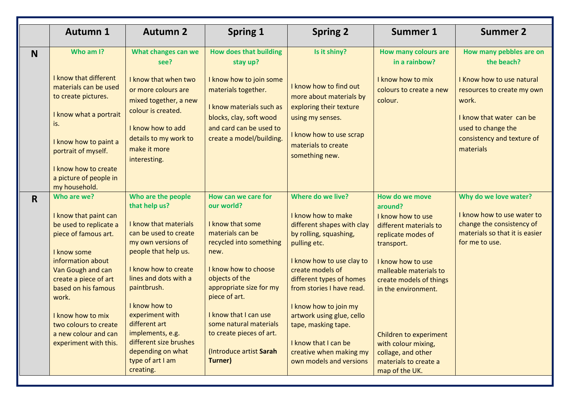|             | <b>Autumn 1</b>                                                                                                                                                                                                                                                                                         | <b>Autumn 2</b>                                                                                                                                                                                                                                                                                                                                              | <b>Spring 1</b>                                                                                                                                                                                                                                                                                                         | <b>Spring 2</b>                                                                                                                                                                                                                                                                                                                                                                      | <b>Summer 1</b>                                                                                                                                                                                                                                                                                                                 | <b>Summer 2</b>                                                                                                                                               |
|-------------|---------------------------------------------------------------------------------------------------------------------------------------------------------------------------------------------------------------------------------------------------------------------------------------------------------|--------------------------------------------------------------------------------------------------------------------------------------------------------------------------------------------------------------------------------------------------------------------------------------------------------------------------------------------------------------|-------------------------------------------------------------------------------------------------------------------------------------------------------------------------------------------------------------------------------------------------------------------------------------------------------------------------|--------------------------------------------------------------------------------------------------------------------------------------------------------------------------------------------------------------------------------------------------------------------------------------------------------------------------------------------------------------------------------------|---------------------------------------------------------------------------------------------------------------------------------------------------------------------------------------------------------------------------------------------------------------------------------------------------------------------------------|---------------------------------------------------------------------------------------------------------------------------------------------------------------|
| N           | Who am I?                                                                                                                                                                                                                                                                                               | What changes can we<br>see?                                                                                                                                                                                                                                                                                                                                  | <b>How does that building</b><br>stay up?                                                                                                                                                                                                                                                                               | Is it shiny?                                                                                                                                                                                                                                                                                                                                                                         | <b>How many colours are</b><br>in a rainbow?                                                                                                                                                                                                                                                                                    | How many pebbles are on<br>the beach?                                                                                                                         |
|             | I know that different<br>materials can be used<br>to create pictures.<br>I know what a portrait<br>is.<br>I know how to paint a<br>portrait of myself.<br>I know how to create<br>a picture of people in<br>my household.                                                                               | I know that when two<br>or more colours are<br>mixed together, a new<br>colour is created.<br>I know how to add<br>details to my work to<br>make it more<br>interesting.                                                                                                                                                                                     | I know how to join some<br>materials together.<br>I know materials such as<br>blocks, clay, soft wood<br>and card can be used to<br>create a model/building.                                                                                                                                                            | I know how to find out<br>more about materials by<br>exploring their texture<br>using my senses.<br>I know how to use scrap<br>materials to create<br>something new.                                                                                                                                                                                                                 | I know how to mix<br>colours to create a new<br>colour.                                                                                                                                                                                                                                                                         | I Know how to use natural<br>resources to create my own<br>work.<br>I know that water can be<br>used to change the<br>consistency and texture of<br>materials |
| $\mathbf R$ | Who are we?<br>I know that paint can<br>be used to replicate a<br>piece of famous art.<br>I know some<br>information about<br>Van Gough and can<br>create a piece of art<br>based on his famous<br>work.<br>I know how to mix<br>two colours to create<br>a new colour and can<br>experiment with this. | Who are the people<br>that help us?<br>I know that materials<br>can be used to create<br>my own versions of<br>people that help us.<br>I know how to create<br>lines and dots with a<br>paintbrush.<br>I know how to<br>experiment with<br>different art<br>implements, e.g.<br>different size brushes<br>depending on what<br>type of art I am<br>creating. | How can we care for<br>our world?<br>I know that some<br>materials can be<br>recycled into something<br>new.<br>I know how to choose<br>objects of the<br>appropriate size for my<br>piece of art.<br>I know that I can use<br>some natural materials<br>to create pieces of art.<br>(Introduce artist Sarah<br>Turner) | Where do we live?<br>I know how to make<br>different shapes with clay<br>by rolling, squashing,<br>pulling etc.<br>I know how to use clay to<br>create models of<br>different types of homes<br>from stories I have read.<br>I know how to join my<br>artwork using glue, cello<br>tape, masking tape.<br>I know that I can be<br>creative when making my<br>own models and versions | How do we move<br>around?<br>I know how to use<br>different materials to<br>replicate modes of<br>transport.<br>I know how to use<br>malleable materials to<br>create models of things<br>in the environment.<br>Children to experiment<br>with colour mixing,<br>collage, and other<br>materials to create a<br>map of the UK. | Why do we love water?<br>I know how to use water to<br>change the consistency of<br>materials so that it is easier<br>for me to use.                          |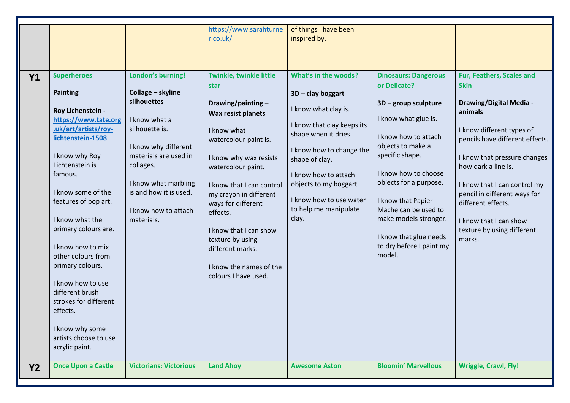|           |                           |                               | https://www.sarahturne    | of things I have been      |                             |                                      |
|-----------|---------------------------|-------------------------------|---------------------------|----------------------------|-----------------------------|--------------------------------------|
|           |                           |                               | r.co.uk/                  | inspired by.               |                             |                                      |
|           |                           |                               |                           |                            |                             |                                      |
|           |                           |                               |                           |                            |                             |                                      |
|           | <b>Superheroes</b>        |                               | Twinkle, twinkle little   | What's in the woods?       |                             | Fur, Feathers, Scales and            |
| <b>Y1</b> |                           | London's burning!             |                           |                            | <b>Dinosaurs: Dangerous</b> |                                      |
|           | <b>Painting</b>           | Collage - skyline             | star                      |                            | or Delicate?                | <b>Skin</b>                          |
|           |                           | silhouettes                   |                           | 3D - clay boggart          |                             |                                      |
|           | Roy Lichenstein -         |                               | Drawing/painting $-$      | I know what clay is.       | $3D$ – group sculpture      | <b>Drawing/Digital Media -</b>       |
|           | https://www.tate.org      | I know what a                 | Wax resist planets        |                            | I know what glue is.        | animals                              |
|           | .uk/art/artists/roy-      | silhouette is.                |                           | I know that clay keeps its |                             |                                      |
|           | lichtenstein-1508         |                               | I know what               | shape when it dries.       | I know how to attach        | I know different types of            |
|           |                           | I know why different          | watercolour paint is.     |                            | objects to make a           | pencils have different effects.      |
|           | I know why Roy            | materials are used in         |                           | I know how to change the   | specific shape.             |                                      |
|           | Lichtenstein is           | collages.                     | I know why wax resists    | shape of clay.             |                             | I know that pressure changes         |
|           | famous.                   |                               | watercolour paint.        | I know how to attach       | I know how to choose        | how dark a line is.                  |
|           |                           | I know what marbling          |                           |                            | objects for a purpose.      |                                      |
|           | I know some of the        | is and how it is used.        | I know that I can control | objects to my boggart.     |                             | I know that I can control my         |
|           | features of pop art.      |                               | my crayon in different    | I know how to use water    | I know that Papier          | pencil in different ways for         |
|           |                           | I know how to attach          | ways for different        | to help me manipulate      | Mache can be used to        | different effects.                   |
|           | I know what the           | materials.                    | effects.                  | clay.                      | make models stronger.       | I know that I can show               |
|           | primary colours are.      |                               |                           |                            |                             |                                      |
|           |                           |                               | I know that I can show    |                            | I know that glue needs      | texture by using different<br>marks. |
|           | I know how to mix         |                               | texture by using          |                            | to dry before I paint my    |                                      |
|           | other colours from        |                               | different marks.          |                            | model.                      |                                      |
|           | primary colours.          |                               |                           |                            |                             |                                      |
|           |                           |                               | I know the names of the   |                            |                             |                                      |
|           | I know how to use         |                               | colours I have used.      |                            |                             |                                      |
|           | different brush           |                               |                           |                            |                             |                                      |
|           | strokes for different     |                               |                           |                            |                             |                                      |
|           | effects.                  |                               |                           |                            |                             |                                      |
|           |                           |                               |                           |                            |                             |                                      |
|           | I know why some           |                               |                           |                            |                             |                                      |
|           | artists choose to use     |                               |                           |                            |                             |                                      |
|           | acrylic paint.            |                               |                           |                            |                             |                                      |
|           |                           |                               |                           |                            |                             |                                      |
| <b>Y2</b> | <b>Once Upon a Castle</b> | <b>Victorians: Victorious</b> | <b>Land Ahoy</b>          | <b>Awesome Aston</b>       | <b>Bloomin' Marvellous</b>  | <b>Wriggle, Crawl, Fly!</b>          |
|           |                           |                               |                           |                            |                             |                                      |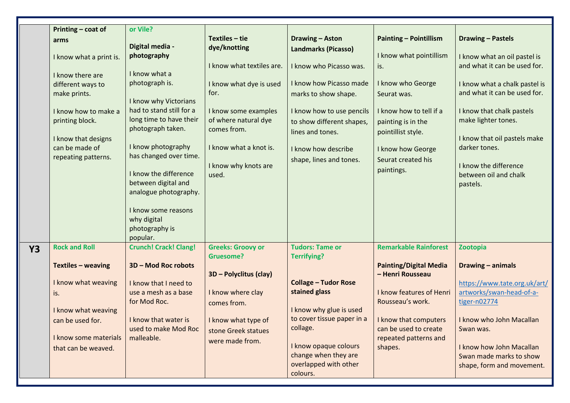|           |                         | or Vile?                                      |                           |                             |                               |                                                          |
|-----------|-------------------------|-----------------------------------------------|---------------------------|-----------------------------|-------------------------------|----------------------------------------------------------|
|           | Printing - coat of      |                                               | $Textiles - tie$          | <b>Drawing - Aston</b>      | <b>Painting - Pointillism</b> | <b>Drawing - Pastels</b>                                 |
|           | arms                    | Digital media -                               | dye/knotting              |                             |                               |                                                          |
|           | I know what a print is. | photography                                   |                           | <b>Landmarks (Picasso)</b>  | I know what pointillism       | I know what an oil pastel is                             |
|           |                         |                                               | I know what textiles are. | I know who Picasso was.     | is.                           | and what it can be used for.                             |
|           | I know there are        | I know what a                                 |                           |                             |                               |                                                          |
|           | different ways to       | photograph is.                                | I know what dye is used   | I know how Picasso made     | I know who George             | I know what a chalk pastel is                            |
|           | make prints.            |                                               | for.                      | marks to show shape.        | Seurat was.                   | and what it can be used for.                             |
|           |                         | I know why Victorians                         |                           |                             |                               |                                                          |
|           | I know how to make a    | had to stand still for a                      | I know some examples      | I know how to use pencils   | I know how to tell if a       | I know that chalk pastels                                |
|           | printing block.         | long time to have their                       | of where natural dye      | to show different shapes,   | painting is in the            | make lighter tones.                                      |
|           |                         | photograph taken.                             | comes from.               | lines and tones.            | pointillist style.            |                                                          |
|           | I know that designs     |                                               |                           |                             |                               | I know that oil pastels make                             |
|           | can be made of          | I know photography                            | I know what a knot is.    | I know how describe         | I know how George             | darker tones.                                            |
|           | repeating patterns.     | has changed over time.                        |                           | shape, lines and tones.     | Seurat created his            |                                                          |
|           |                         |                                               | I know why knots are      |                             |                               | I know the difference                                    |
|           |                         | I know the difference                         | used.                     |                             | paintings.                    | between oil and chalk                                    |
|           |                         | between digital and                           |                           |                             |                               | pastels.                                                 |
|           |                         | analogue photography.                         |                           |                             |                               |                                                          |
|           |                         |                                               |                           |                             |                               |                                                          |
|           |                         | I know some reasons                           |                           |                             |                               |                                                          |
|           |                         | why digital                                   |                           |                             |                               |                                                          |
|           |                         | photography is                                |                           |                             |                               |                                                          |
|           |                         | popular.                                      |                           |                             |                               |                                                          |
| <b>Y3</b> | <b>Rock and Roll</b>    | <b>Crunch! Crack! Clang!</b>                  | <b>Greeks: Groovy or</b>  | <b>Tudors: Tame or</b>      | <b>Remarkable Rainforest</b>  | Zootopia                                                 |
|           |                         |                                               | <b>Gruesome?</b>          | <b>Terrifying?</b>          |                               |                                                          |
|           | Textiles - weaving      | 3D - Mod Roc robots                           |                           |                             | <b>Painting/Digital Media</b> | Drawing - animals                                        |
|           | I know what weaving     |                                               | 3D - Polyclitus (clay)    | <b>Collage - Tudor Rose</b> | - Henri Rousseau              |                                                          |
|           |                         | I know that I need to<br>use a mesh as a base |                           | stained glass               | I know features of Henri      | https://www.tate.org.uk/art/<br>artworks/swan-head-of-a- |
|           | is.                     | for Mod Roc.                                  | I know where clay         |                             | Rousseau's work.              |                                                          |
|           | I know what weaving     |                                               | comes from.               | I know why glue is used     |                               | tiger-n02774                                             |
|           |                         | I know that water is                          |                           | to cover tissue paper in a  | I know that computers         | I know who John Macallan                                 |
|           | can be used for.        | used to make Mod Roc                          | I know what type of       | collage.                    | can be used to create         | Swan was.                                                |
|           | I know some materials   | malleable.                                    | stone Greek statues       |                             | repeated patterns and         |                                                          |
|           | that can be weaved.     |                                               | were made from.           | I know opaque colours       | shapes.                       | I know how John Macallan                                 |
|           |                         |                                               |                           | change when they are        |                               | Swan made marks to show                                  |
|           |                         |                                               |                           | overlapped with other       |                               | shape, form and movement.                                |
|           |                         |                                               |                           | colours.                    |                               |                                                          |
|           |                         |                                               |                           |                             |                               |                                                          |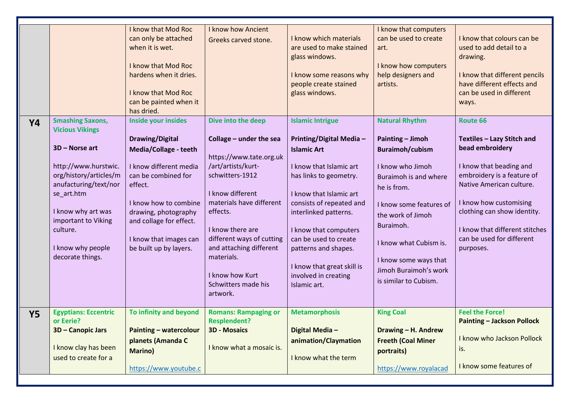| <b>Y4</b> | <b>Smashing Saxons,</b><br><b>Vicious Vikings</b><br>3D - Norse art<br>http://www.hurstwic.<br>org/history/articles/m<br>anufacturing/text/nor<br>se_art.htm<br>I know why art was<br>important to Viking<br>culture.<br>I know why people<br>decorate things. | <b>I know that Mod Roc</b><br>can only be attached<br>when it is wet.<br>I know that Mod Roc<br>hardens when it dries.<br>I know that Mod Roc<br>can be painted when it<br>has dried.<br>Inside your insides<br><b>Drawing/Digital</b><br><b>Media/Collage - teeth</b><br>I know different media<br>can be combined for<br>effect.<br>I know how to combine<br>drawing, photography<br>and collage for effect.<br>I know that images can<br>be built up by layers. | <b>I know how Ancient</b><br>Greeks carved stone.<br>Dive into the deep<br>Collage - under the sea<br>https://www.tate.org.uk<br>/art/artists/kurt-<br>schwitters-1912<br>I know different<br>materials have different<br>effects.<br>I know there are<br>different ways of cutting<br>and attaching different<br>materials.<br>I know how Kurt<br>Schwitters made his | I know which materials<br>are used to make stained<br>glass windows.<br>I know some reasons why<br>people create stained<br>glass windows.<br><b>Islamic Intrigue</b><br><b>Printing/Digital Media -</b><br><b>Islamic Art</b><br>I know that Islamic art<br>has links to geometry.<br>I know that Islamic art<br>consists of repeated and<br>interlinked patterns.<br>I know that computers<br>can be used to create<br>patterns and shapes.<br>I know that great skill is<br>involved in creating<br>Islamic art. | I know that computers<br>can be used to create<br>art.<br>I know how computers<br>help designers and<br>artists.<br><b>Natural Rhythm</b><br><b>Painting - Jimoh</b><br><b>Buraimoh/cubism</b><br>I know who Jimoh<br>Buraimoh is and where<br>he is from.<br>I know some features of<br>the work of Jimoh<br>Buraimoh.<br>I know what Cubism is.<br>I know some ways that<br>Jimoh Buraimoh's work<br>is similar to Cubism. | I know that colours can be<br>used to add detail to a<br>drawing.<br>I know that different pencils<br>have different effects and<br>can be used in different<br>ways.<br>Route 66<br>Textiles - Lazy Stitch and<br>bead embroidery<br>I know that beading and<br>embroidery is a feature of<br>Native American culture.<br>I know how customising<br>clothing can show identity.<br>I know that different stitches<br>can be used for different<br>purposes. |
|-----------|----------------------------------------------------------------------------------------------------------------------------------------------------------------------------------------------------------------------------------------------------------------|--------------------------------------------------------------------------------------------------------------------------------------------------------------------------------------------------------------------------------------------------------------------------------------------------------------------------------------------------------------------------------------------------------------------------------------------------------------------|------------------------------------------------------------------------------------------------------------------------------------------------------------------------------------------------------------------------------------------------------------------------------------------------------------------------------------------------------------------------|---------------------------------------------------------------------------------------------------------------------------------------------------------------------------------------------------------------------------------------------------------------------------------------------------------------------------------------------------------------------------------------------------------------------------------------------------------------------------------------------------------------------|------------------------------------------------------------------------------------------------------------------------------------------------------------------------------------------------------------------------------------------------------------------------------------------------------------------------------------------------------------------------------------------------------------------------------|--------------------------------------------------------------------------------------------------------------------------------------------------------------------------------------------------------------------------------------------------------------------------------------------------------------------------------------------------------------------------------------------------------------------------------------------------------------|
|           |                                                                                                                                                                                                                                                                |                                                                                                                                                                                                                                                                                                                                                                                                                                                                    | artwork.                                                                                                                                                                                                                                                                                                                                                               |                                                                                                                                                                                                                                                                                                                                                                                                                                                                                                                     |                                                                                                                                                                                                                                                                                                                                                                                                                              |                                                                                                                                                                                                                                                                                                                                                                                                                                                              |
| <b>Y5</b> | <b>Egyptians: Eccentric</b><br>or Eerie?<br>3D - Canopic Jars<br>I know clay has been<br>used to create for a                                                                                                                                                  | To infinity and beyond<br>Painting - watercolour<br>planets (Amanda C<br><b>Marino</b> )<br>https://www.youtube.c                                                                                                                                                                                                                                                                                                                                                  | <b>Romans: Rampaging or</b><br><b>Resplendent?</b><br><b>3D - Mosaics</b><br>I know what a mosaic is.                                                                                                                                                                                                                                                                  | <b>Metamorphosis</b><br>Digital Media-<br>animation/Claymation<br>I know what the term                                                                                                                                                                                                                                                                                                                                                                                                                              | <b>King Coal</b><br>Drawing - H. Andrew<br><b>Freeth (Coal Miner</b><br>portraits)<br>https://www.royalacad                                                                                                                                                                                                                                                                                                                  | <b>Feel the Force!</b><br><b>Painting - Jackson Pollock</b><br>I know who Jackson Pollock<br>is.<br>I know some features of                                                                                                                                                                                                                                                                                                                                  |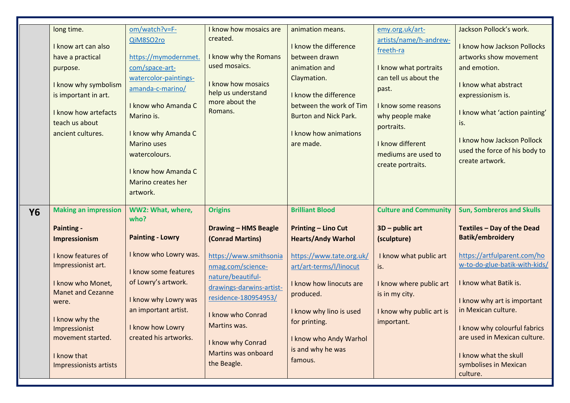|           | long time.                                                                                                                                                                | om/watch?v=F-                                                                                                                                                                                                                                    | I know how mosaics are                                                                                                                                                                                | animation means.                                                                                                                                                                                  | emy.org.uk/art-                                                                                                                                                                                                        | Jackson Pollock's work.                                                                                                                                                                                                                      |
|-----------|---------------------------------------------------------------------------------------------------------------------------------------------------------------------------|--------------------------------------------------------------------------------------------------------------------------------------------------------------------------------------------------------------------------------------------------|-------------------------------------------------------------------------------------------------------------------------------------------------------------------------------------------------------|---------------------------------------------------------------------------------------------------------------------------------------------------------------------------------------------------|------------------------------------------------------------------------------------------------------------------------------------------------------------------------------------------------------------------------|----------------------------------------------------------------------------------------------------------------------------------------------------------------------------------------------------------------------------------------------|
|           | I know art can also<br>have a practical<br>purpose.<br>I know why symbolism<br>is important in art.<br>I know how artefacts<br>teach us about<br>ancient cultures.        | QiM8SO2ro<br>https://mymodernmet.<br>com/space-art-<br>watercolor-paintings-<br>amanda-c-marino/<br>I know who Amanda C<br>Marino is.<br>I know why Amanda C<br><b>Marino uses</b><br>watercolours.<br>I know how Amanda C<br>Marino creates her | created.<br>I know why the Romans<br>used mosaics.<br>I know how mosaics<br>help us understand<br>more about the<br>Romans.                                                                           | I know the difference<br>between drawn<br>animation and<br>Claymation.<br>I know the difference<br>between the work of Tim<br><b>Burton and Nick Park.</b><br>I know how animations<br>are made.  | artists/name/h-andrew-<br>freeth-ra<br>I know what portraits<br>can tell us about the<br>past.<br>I know some reasons<br>why people make<br>portraits.<br>I know different<br>mediums are used to<br>create portraits. | I know how Jackson Pollocks<br>artworks show movement<br>and emotion.<br>I know what abstract<br>expressionism is.<br>I know what 'action painting'<br>is.<br>I know how Jackson Pollock<br>used the force of his body to<br>create artwork. |
|           |                                                                                                                                                                           | artwork.                                                                                                                                                                                                                                         |                                                                                                                                                                                                       |                                                                                                                                                                                                   |                                                                                                                                                                                                                        |                                                                                                                                                                                                                                              |
| <b>Y6</b> | <b>Making an impression</b><br><b>Painting -</b>                                                                                                                          | WW2: What, where,<br>who?                                                                                                                                                                                                                        | <b>Origins</b><br><b>Drawing - HMS Beagle</b>                                                                                                                                                         | <b>Brilliant Blood</b><br><b>Printing - Lino Cut</b>                                                                                                                                              | <b>Culture and Community</b><br>$3D$ – public art                                                                                                                                                                      | <b>Sun, Sombreros and Skulls</b><br>Textiles - Day of the Dead<br>Batik/embroidery                                                                                                                                                           |
|           | Impressionism                                                                                                                                                             | <b>Painting - Lowry</b>                                                                                                                                                                                                                          | (Conrad Martins)                                                                                                                                                                                      | <b>Hearts/Andy Warhol</b>                                                                                                                                                                         | (sculpture)                                                                                                                                                                                                            |                                                                                                                                                                                                                                              |
|           | I know features of<br>Impressionist art.<br>I know who Monet,<br><b>Manet and Cezanne</b><br>were.<br>I know why the<br>Impressionist<br>movement started.<br>I know that | I know who Lowry was.<br>I know some features<br>of Lowry's artwork.<br>I know why Lowry was<br>an important artist.<br>I know how Lowry<br>created his artworks.                                                                                | https://www.smithsonia<br>nmag.com/science-<br>nature/beautiful-<br>drawings-darwins-artist-<br>residence-180954953/<br>I know who Conrad<br>Martins was.<br>I know why Conrad<br>Martins was onboard | https://www.tate.org.uk/<br>art/art-terms/l/linocut<br>I know how linocuts are<br>produced.<br>I know why lino is used<br>for printing.<br>I know who Andy Warhol<br>is and why he was<br>famous. | I know what public art<br>is.<br>I know where public art<br>is in my city.<br>I know why public art is<br>important.                                                                                                   | https://artfulparent.com/ho<br>w-to-do-glue-batik-with-kids/<br>I know what Batik is.<br>I know why art is important<br>in Mexican culture.<br>I know why colourful fabrics<br>are used in Mexican culture.<br>I know what the skull         |
|           | Impressionists artists                                                                                                                                                    |                                                                                                                                                                                                                                                  | the Beagle.                                                                                                                                                                                           |                                                                                                                                                                                                   |                                                                                                                                                                                                                        | symbolises in Mexican<br>culture.                                                                                                                                                                                                            |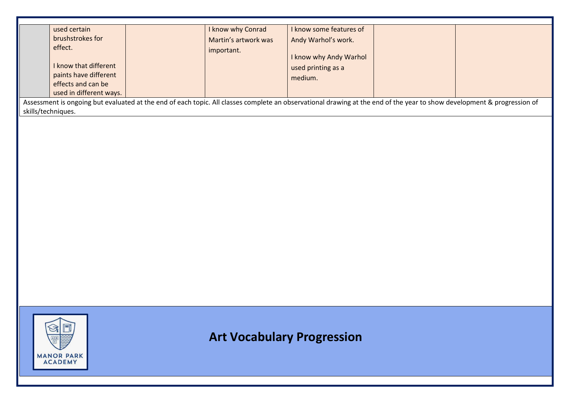|                    | used certain              | I know why Conrad                 | I know some features of                                                                                                                                                 |  |
|--------------------|---------------------------|-----------------------------------|-------------------------------------------------------------------------------------------------------------------------------------------------------------------------|--|
|                    | brushstrokes for          | Martin's artwork was              | Andy Warhol's work.                                                                                                                                                     |  |
|                    | effect.                   |                                   |                                                                                                                                                                         |  |
|                    |                           | important.                        | I know why Andy Warhol                                                                                                                                                  |  |
|                    | I know that different     |                                   | used printing as a                                                                                                                                                      |  |
|                    | paints have different     |                                   |                                                                                                                                                                         |  |
|                    | effects and can be        |                                   | medium.                                                                                                                                                                 |  |
|                    | used in different ways.   |                                   |                                                                                                                                                                         |  |
|                    |                           |                                   | Assessment is ongoing but evaluated at the end of each topic. All classes complete an observational drawing at the end of the year to show development & progression of |  |
|                    |                           |                                   |                                                                                                                                                                         |  |
| skills/techniques. |                           |                                   |                                                                                                                                                                         |  |
|                    |                           |                                   |                                                                                                                                                                         |  |
|                    |                           |                                   |                                                                                                                                                                         |  |
|                    |                           |                                   |                                                                                                                                                                         |  |
|                    |                           |                                   |                                                                                                                                                                         |  |
|                    |                           |                                   |                                                                                                                                                                         |  |
|                    |                           |                                   |                                                                                                                                                                         |  |
|                    |                           |                                   |                                                                                                                                                                         |  |
|                    |                           |                                   |                                                                                                                                                                         |  |
|                    |                           |                                   |                                                                                                                                                                         |  |
|                    |                           |                                   |                                                                                                                                                                         |  |
|                    |                           |                                   |                                                                                                                                                                         |  |
|                    |                           |                                   |                                                                                                                                                                         |  |
|                    |                           |                                   |                                                                                                                                                                         |  |
|                    |                           |                                   |                                                                                                                                                                         |  |
|                    |                           |                                   |                                                                                                                                                                         |  |
|                    |                           |                                   |                                                                                                                                                                         |  |
|                    |                           |                                   |                                                                                                                                                                         |  |
|                    |                           |                                   |                                                                                                                                                                         |  |
|                    |                           |                                   |                                                                                                                                                                         |  |
|                    |                           |                                   |                                                                                                                                                                         |  |
|                    |                           |                                   |                                                                                                                                                                         |  |
|                    |                           |                                   |                                                                                                                                                                         |  |
|                    |                           |                                   |                                                                                                                                                                         |  |
|                    | $\curvearrowright$<br>oli |                                   |                                                                                                                                                                         |  |
|                    |                           |                                   |                                                                                                                                                                         |  |
|                    |                           | <b>Art Vocabulary Progression</b> |                                                                                                                                                                         |  |
|                    |                           |                                   |                                                                                                                                                                         |  |
|                    | <b>MANOR PARK</b>         |                                   |                                                                                                                                                                         |  |
|                    | <b>ACADEMY</b>            |                                   |                                                                                                                                                                         |  |
|                    |                           |                                   |                                                                                                                                                                         |  |
|                    |                           |                                   |                                                                                                                                                                         |  |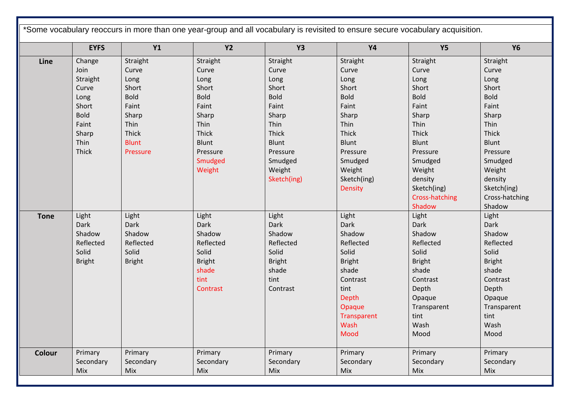|             | <b>EYFS</b>   | <b>Y1</b>     | <b>Y2</b>     | <b>Y3</b>     | <b>Y4</b>      | <b>Y5</b>      | <b>Y6</b>      |
|-------------|---------------|---------------|---------------|---------------|----------------|----------------|----------------|
| Line        | Change        | Straight      | Straight      | Straight      | Straight       | Straight       | Straight       |
|             | Join          | Curve         | Curve         | Curve         | Curve          | Curve          | Curve          |
|             | Straight      | Long          | Long          | Long          | Long           | Long           | Long           |
|             | Curve         | Short         | Short         | Short         | Short          | Short          | Short          |
|             | Long          | <b>Bold</b>   | <b>Bold</b>   | <b>Bold</b>   | <b>Bold</b>    | <b>Bold</b>    | <b>Bold</b>    |
|             | Short         | Faint         | Faint         | Faint         | Faint          | Faint          | Faint          |
|             | <b>Bold</b>   | Sharp         | Sharp         | Sharp         | Sharp          | Sharp          | Sharp          |
|             | Faint         | Thin          | Thin          | Thin          | Thin           | Thin           | Thin           |
|             | Sharp         | Thick         | Thick         | Thick         | Thick          | Thick          | Thick          |
|             | Thin          | <b>Blunt</b>  | <b>Blunt</b>  | <b>Blunt</b>  | Blunt          | <b>Blunt</b>   | Blunt          |
|             | Thick         | Pressure      | Pressure      | Pressure      | Pressure       | Pressure       | Pressure       |
|             |               |               | Smudged       | Smudged       | Smudged        | Smudged        | Smudged        |
|             |               |               | Weight        | Weight        | Weight         | Weight         | Weight         |
|             |               |               |               | Sketch(ing)   | Sketch(ing)    | density        | density        |
|             |               |               |               |               | <b>Density</b> | Sketch(ing)    | Sketch(ing)    |
|             |               |               |               |               |                | Cross-hatching | Cross-hatching |
|             |               |               |               |               |                | Shadow         | Shadow         |
| <b>Tone</b> | Light         | Light         | Light         | Light         | Light          | Light          | Light          |
|             | Dark          | Dark          | Dark          | Dark          | Dark           | Dark           | Dark           |
|             | Shadow        | Shadow        | Shadow        | Shadow        | Shadow         | Shadow         | Shadow         |
|             | Reflected     | Reflected     | Reflected     | Reflected     | Reflected      | Reflected      | Reflected      |
|             | Solid         | Solid         | Solid         | Solid         | Solid          | Solid          | Solid          |
|             | <b>Bright</b> | <b>Bright</b> | <b>Bright</b> | <b>Bright</b> | <b>Bright</b>  | <b>Bright</b>  | <b>Bright</b>  |
|             |               |               | shade         | shade         | shade          | shade          | shade          |
|             |               |               | tint          | tint          | Contrast       | Contrast       | Contrast       |
|             |               |               | Contrast      | Contrast      | tint           | Depth          | Depth          |
|             |               |               |               |               | Depth          | Opaque         | Opaque         |
|             |               |               |               |               | Opaque         | Transparent    | Transparent    |
|             |               |               |               |               | Transparent    | tint           | tint           |
|             |               |               |               |               | Wash           | Wash           | Wash           |
|             |               |               |               |               | Mood           | Mood           | Mood           |
| Colour      | Primary       | Primary       | Primary       | Primary       | Primary        | Primary        | Primary        |
|             | Secondary     | Secondary     | Secondary     | Secondary     | Secondary      | Secondary      | Secondary      |
|             | Mix           | Mix           | Mix           | Mix           | Mix            | Mix            | Mix            |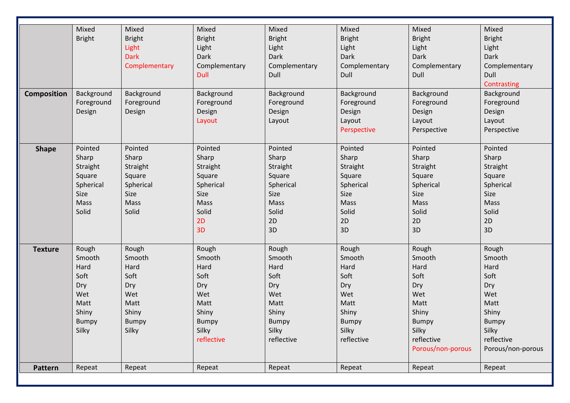|                    | Mixed         | Mixed         | Mixed         | Mixed         | Mixed         | Mixed             | Mixed             |
|--------------------|---------------|---------------|---------------|---------------|---------------|-------------------|-------------------|
|                    | <b>Bright</b> | <b>Bright</b> | <b>Bright</b> | <b>Bright</b> | <b>Bright</b> | <b>Bright</b>     | <b>Bright</b>     |
|                    |               | Light         | Light         | Light         | Light         | Light             | Light             |
|                    |               | <b>Dark</b>   | Dark          | Dark          | Dark          | Dark              | Dark              |
|                    |               | Complementary | Complementary | Complementary | Complementary | Complementary     | Complementary     |
|                    |               |               | Dull          | Dull          | Dull          | Dull              | Dull              |
|                    |               |               |               |               |               |                   | Contrasting       |
| <b>Composition</b> | Background    | Background    | Background    | Background    | Background    | Background        | Background        |
|                    | Foreground    | Foreground    | Foreground    | Foreground    | Foreground    | Foreground        | Foreground        |
|                    | Design        | Design        | Design        | Design        | Design        | Design            | Design            |
|                    |               |               | Layout        | Layout        | Layout        | Layout            | Layout            |
|                    |               |               |               |               | Perspective   | Perspective       | Perspective       |
|                    |               |               |               |               |               |                   |                   |
| <b>Shape</b>       | Pointed       | Pointed       | Pointed       | Pointed       | Pointed       | Pointed           | Pointed           |
|                    | Sharp         | Sharp         | Sharp         | Sharp         | Sharp         | Sharp             | Sharp             |
|                    | Straight      | Straight      | Straight      | Straight      | Straight      | Straight          | Straight          |
|                    | Square        | Square        | Square        | Square        | Square        | Square            | Square            |
|                    | Spherical     | Spherical     | Spherical     | Spherical     | Spherical     | Spherical         | Spherical         |
|                    | Size          | Size          | Size          | Size          | Size          | Size              | Size              |
|                    | Mass          | Mass          | Mass          | Mass          | Mass          | Mass              | Mass              |
|                    | Solid         | Solid         | Solid         | Solid         | Solid         | Solid             | Solid             |
|                    |               |               | 2D            | 2D            | 2D            | 2D                | 2D                |
|                    |               |               | 3D            | 3D            | 3D            | 3D                | 3D                |
|                    |               |               |               |               |               |                   |                   |
| <b>Texture</b>     | Rough         | Rough         | Rough         | Rough         | Rough         | Rough             | Rough             |
|                    | Smooth        | Smooth        | Smooth        | Smooth        | Smooth        | Smooth            | Smooth            |
|                    | Hard          | Hard          | Hard          | Hard          | Hard          | Hard              | Hard              |
|                    | Soft          | Soft          | Soft          | Soft          | Soft          | Soft              | Soft              |
|                    | Dry           | Dry           | Dry           | Dry           | Dry           | Dry               | Dry               |
|                    | Wet           | Wet           | Wet           | Wet           | Wet           | Wet               | Wet               |
|                    | Matt          | Matt          | Matt          | Matt          | Matt          | Matt              | Matt              |
|                    | Shiny         | Shiny         | Shiny         | Shiny         | Shiny         | Shiny             | Shiny             |
|                    | Bumpy         | Bumpy         | Bumpy         | Bumpy         | Bumpy         | Bumpy             | Bumpy             |
|                    | Silky         | Silky         | Silky         | Silky         | Silky         | Silky             | Silky             |
|                    |               |               | reflective    | reflective    | reflective    | reflective        | reflective        |
|                    |               |               |               |               |               | Porous/non-porous | Porous/non-porous |
|                    |               |               |               |               |               |                   |                   |
| Pattern            | Repeat        | Repeat        | Repeat        | Repeat        | Repeat        | Repeat            | Repeat            |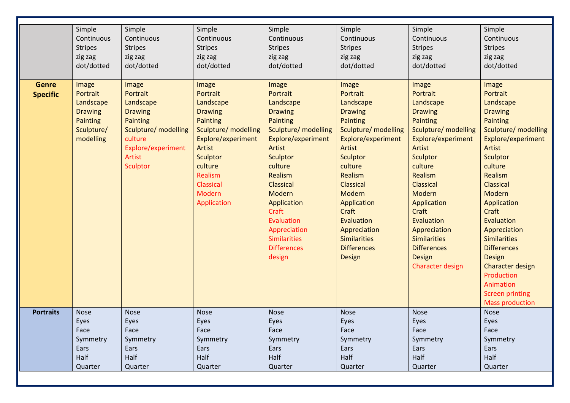|                  | Simple         | Simple               | Simple               | Simple               | Simple               | Simple                              | Simple                 |
|------------------|----------------|----------------------|----------------------|----------------------|----------------------|-------------------------------------|------------------------|
|                  | Continuous     | Continuous           | Continuous           | Continuous           | Continuous           | Continuous                          | Continuous             |
|                  | <b>Stripes</b> | <b>Stripes</b>       | <b>Stripes</b>       | <b>Stripes</b>       | <b>Stripes</b>       | <b>Stripes</b>                      | <b>Stripes</b>         |
|                  | zig zag        | zig zag              | zig zag              | zig zag              | zig zag              | zig zag                             | zig zag                |
|                  | dot/dotted     | dot/dotted           | dot/dotted           | dot/dotted           | dot/dotted           | dot/dotted                          | dot/dotted             |
|                  |                |                      |                      |                      |                      |                                     |                        |
| <b>Genre</b>     | <b>Image</b>   | Image                | Image                | <b>Image</b>         | Image                | Image                               | <b>Image</b>           |
| <b>Specific</b>  | Portrait       | Portrait             | Portrait             | Portrait             | Portrait             | Portrait                            | Portrait               |
|                  | Landscape      | Landscape            | Landscape            | Landscape            | Landscape            | Landscape                           | Landscape              |
|                  | <b>Drawing</b> | <b>Drawing</b>       | <b>Drawing</b>       | <b>Drawing</b>       | <b>Drawing</b>       | <b>Drawing</b>                      | <b>Drawing</b>         |
|                  | Painting       | <b>Painting</b>      | Painting             | Painting             | Painting             | Painting                            | Painting               |
|                  | Sculpture/     | Sculpture/ modelling | Sculpture/ modelling | Sculpture/ modelling | Sculpture/ modelling | Sculpture/ modelling                | Sculpture/ modelling   |
|                  | modelling      | culture              | Explore/experiment   | Explore/experiment   | Explore/experiment   | Explore/experiment                  | Explore/experiment     |
|                  |                | Explore/experiment   | <b>Artist</b>        | Artist               | Artist               | Artist                              | Artist                 |
|                  |                | Artist               | Sculptor             | Sculptor             | Sculptor             | <b>Sculptor</b>                     | <b>Sculptor</b>        |
|                  |                | Sculptor             | culture              | culture              | culture              | culture                             | culture                |
|                  |                |                      | Realism              | Realism              | Realism              | Realism                             | Realism                |
|                  |                |                      | Classical            | <b>Classical</b>     | <b>Classical</b>     | <b>Classical</b>                    | Classical              |
|                  |                |                      | Modern               | Modern               | Modern               | <b>Modern</b>                       | Modern                 |
|                  |                |                      | Application          | Application          | Application          | Application                         | Application            |
|                  |                |                      |                      | Craft                | Craft                | Craft                               | Craft                  |
|                  |                |                      |                      | Evaluation           | Evaluation           | Evaluation                          | Evaluation             |
|                  |                |                      |                      |                      |                      |                                     |                        |
|                  |                |                      |                      | Appreciation         | Appreciation         | Appreciation<br><b>Similarities</b> | Appreciation           |
|                  |                |                      |                      | <b>Similarities</b>  | <b>Similarities</b>  |                                     | <b>Similarities</b>    |
|                  |                |                      |                      | <b>Differences</b>   | <b>Differences</b>   | <b>Differences</b>                  | <b>Differences</b>     |
|                  |                |                      |                      | design               | <b>Design</b>        | Design                              | <b>Design</b>          |
|                  |                |                      |                      |                      |                      | Character design                    | Character design       |
|                  |                |                      |                      |                      |                      |                                     | Production             |
|                  |                |                      |                      |                      |                      |                                     | Animation              |
|                  |                |                      |                      |                      |                      |                                     | <b>Screen printing</b> |
|                  |                |                      |                      |                      |                      |                                     | <b>Mass production</b> |
| <b>Portraits</b> | <b>Nose</b>    | <b>Nose</b>          | <b>Nose</b>          | <b>Nose</b>          | <b>Nose</b>          | <b>Nose</b>                         | <b>Nose</b>            |
|                  | Eyes           | Eyes                 | Eyes                 | Eyes                 | Eyes                 | Eyes                                | Eyes                   |
|                  | Face           | Face                 | Face                 | Face                 | Face                 | Face                                | Face                   |
|                  | Symmetry       | Symmetry             | Symmetry             | Symmetry             | Symmetry             | Symmetry                            | Symmetry               |
|                  | Ears           | Ears                 | Ears                 | Ears                 | Ears                 | Ears                                | Ears                   |
|                  | Half           | Half                 | Half                 | Half                 | Half                 | Half                                | Half                   |
|                  | Quarter        | Quarter              | Quarter              | Quarter              | Quarter              | Quarter                             | Quarter                |
|                  |                |                      |                      |                      |                      |                                     |                        |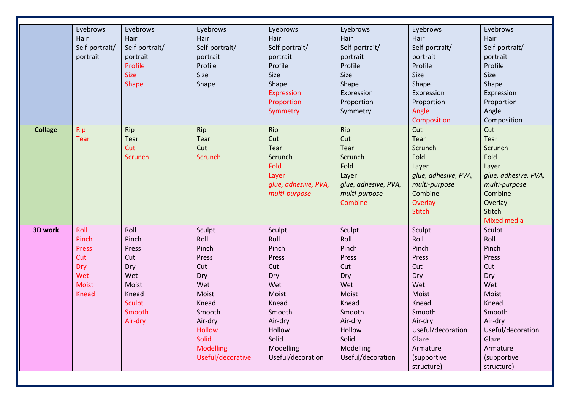|                | Eyebrows       | Eyebrows       | Eyebrows          | Eyebrows             | Eyebrows             | Eyebrows             | Eyebrows             |
|----------------|----------------|----------------|-------------------|----------------------|----------------------|----------------------|----------------------|
|                | Hair           | Hair           | Hair              | Hair                 | Hair                 | Hair                 | Hair                 |
|                | Self-portrait/ | Self-portrait/ | Self-portrait/    | Self-portrait/       | Self-portrait/       | Self-portrait/       | Self-portrait/       |
|                | portrait       | portrait       | portrait          | portrait             | portrait             | portrait             | portrait             |
|                |                | Profile        | Profile           | Profile              | Profile              | Profile              | Profile              |
|                |                | <b>Size</b>    | Size              | Size                 | Size                 | Size                 | Size                 |
|                |                | Shape          | Shape             | Shape                | Shape                | Shape                | Shape                |
|                |                |                |                   | <b>Expression</b>    | Expression           | Expression           | Expression           |
|                |                |                |                   | Proportion           | Proportion           | Proportion           | Proportion           |
|                |                |                |                   | Symmetry             | Symmetry             | Angle                | Angle                |
|                |                |                |                   |                      |                      | Composition          | Composition          |
| <b>Collage</b> | Rip            | Rip            | Rip               | Rip                  | Rip                  | Cut                  | Cut                  |
|                | <b>Tear</b>    | Tear           | Tear              | Cut                  | Cut                  | Tear                 | Tear                 |
|                |                | Cut            | Cut               | Tear                 | Tear                 | Scrunch              | Scrunch              |
|                |                | Scrunch        | Scrunch           | Scrunch              | Scrunch              | Fold                 | Fold                 |
|                |                |                |                   | Fold                 | Fold                 | Layer                | Layer                |
|                |                |                |                   | Layer                | Layer                | glue, adhesive, PVA, | glue, adhesive, PVA, |
|                |                |                |                   | glue, adhesive, PVA, | glue, adhesive, PVA, | multi-purpose        | multi-purpose        |
|                |                |                |                   | multi-purpose        | multi-purpose        | Combine              | Combine              |
|                |                |                |                   |                      | Combine              | Overlay              | Overlay              |
|                |                |                |                   |                      |                      | <b>Stitch</b>        | Stitch               |
|                |                |                |                   |                      |                      |                      | <b>Mixed media</b>   |
| 3D work        | Roll           | Roll           | Sculpt            | Sculpt               | Sculpt               | Sculpt               | Sculpt               |
|                | Pinch          | Pinch          | Roll              | Roll                 | Roll                 | Roll                 | Roll                 |
|                | Press          | Press          | Pinch             | Pinch                | Pinch                | Pinch                | Pinch                |
|                | Cut            | Cut            | Press             | Press                | Press                | Press                | Press                |
|                | Dry            | Dry            | Cut               | Cut                  | Cut                  | Cut                  | Cut                  |
|                | Wet            | Wet            | Dry               | Dry                  | Dry                  | Dry                  | Dry                  |
|                | <b>Moist</b>   | Moist          | Wet               | Wet                  | Wet                  | Wet                  | Wet                  |
|                | <b>Knead</b>   | Knead          | Moist             | Moist                | Moist                | Moist                | Moist                |
|                |                | <b>Sculpt</b>  | Knead             | Knead                | Knead                | Knead                | Knead                |
|                |                | Smooth         | Smooth            | Smooth               | Smooth               | Smooth               | Smooth               |
|                |                | Air-dry        | Air-dry           | Air-dry              | Air-dry              | Air-dry              | Air-dry              |
|                |                |                | <b>Hollow</b>     | Hollow               | Hollow               | Useful/decoration    | Useful/decoration    |
|                |                |                | Solid             | Solid                | Solid                | Glaze                | Glaze                |
|                |                |                | <b>Modelling</b>  | Modelling            | Modelling            | Armature             | Armature             |
|                |                |                | Useful/decorative | Useful/decoration    | Useful/decoration    | (supportive          | (supportive          |
|                |                |                |                   |                      |                      | structure)           | structure)           |
|                |                |                |                   |                      |                      |                      |                      |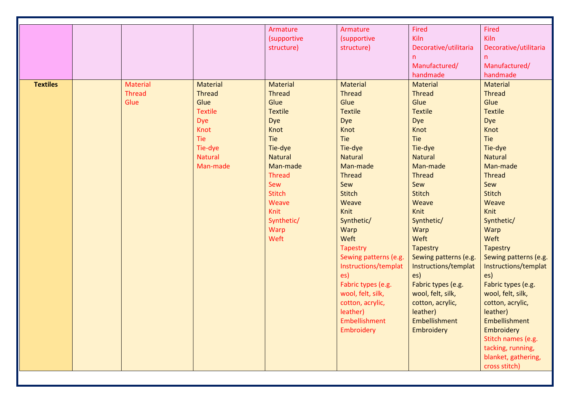|                 |                 |                 | Armature       | Armature              | Fired                 | Fired                 |
|-----------------|-----------------|-----------------|----------------|-----------------------|-----------------------|-----------------------|
|                 |                 |                 | (supportive    | (supportive           | Kiln                  | Kiln                  |
|                 |                 |                 | structure)     | structure)            | Decorative/utilitaria | Decorative/utilitaria |
|                 |                 |                 |                |                       | n                     | $\mathsf{n}$          |
|                 |                 |                 |                |                       | Manufactured/         | Manufactured/         |
|                 |                 |                 |                |                       | handmade              | handmade              |
| <b>Textiles</b> | <b>Material</b> | <b>Material</b> | Material       | <b>Material</b>       | <b>Material</b>       | Material              |
|                 | <b>Thread</b>   | <b>Thread</b>   | <b>Thread</b>  | <b>Thread</b>         | <b>Thread</b>         | <b>Thread</b>         |
|                 | Glue            | Glue            | Glue           | Glue                  | Glue                  | Glue                  |
|                 |                 | <b>Textile</b>  | <b>Textile</b> | <b>Textile</b>        | <b>Textile</b>        | <b>Textile</b>        |
|                 |                 | <b>Dye</b>      | Dye            | Dye                   | Dye                   | Dye                   |
|                 |                 | Knot            | Knot           | Knot                  | Knot                  | Knot                  |
|                 |                 | Tie             | Tie            | Tie                   | Tie                   | Tie                   |
|                 |                 | Tie-dye         | Tie-dye        | Tie-dye               | Tie-dye               | Tie-dye               |
|                 |                 | <b>Natural</b>  | <b>Natural</b> | <b>Natural</b>        | <b>Natural</b>        | <b>Natural</b>        |
|                 |                 | Man-made        | Man-made       | Man-made              | Man-made              | Man-made              |
|                 |                 |                 | <b>Thread</b>  | <b>Thread</b>         | <b>Thread</b>         | <b>Thread</b>         |
|                 |                 |                 | Sew            | Sew                   | Sew                   | Sew                   |
|                 |                 |                 | <b>Stitch</b>  | <b>Stitch</b>         | <b>Stitch</b>         | <b>Stitch</b>         |
|                 |                 |                 | Weave          | Weave                 | Weave                 | Weave                 |
|                 |                 |                 | Knit           | <b>Knit</b>           | <b>Knit</b>           | Knit                  |
|                 |                 |                 | Synthetic/     | Synthetic/            | Synthetic/            | Synthetic/            |
|                 |                 |                 | Warp           | Warp                  | Warp                  | Warp                  |
|                 |                 |                 | Weft           | Weft                  | Weft                  | Weft                  |
|                 |                 |                 |                | <b>Tapestry</b>       | Tapestry              | <b>Tapestry</b>       |
|                 |                 |                 |                | Sewing patterns (e.g. | Sewing patterns (e.g. | Sewing patterns (e.g. |
|                 |                 |                 |                | Instructions/templat  | Instructions/templat  | Instructions/templat  |
|                 |                 |                 |                | es)                   | es)                   | es)                   |
|                 |                 |                 |                | Fabric types (e.g.    | Fabric types (e.g.    | Fabric types (e.g.    |
|                 |                 |                 |                | wool, felt, silk,     | wool, felt, silk,     | wool, felt, silk,     |
|                 |                 |                 |                | cotton, acrylic,      | cotton, acrylic,      | cotton, acrylic,      |
|                 |                 |                 |                | leather)              | leather)              | leather)              |
|                 |                 |                 |                | Embellishment         | Embellishment         | Embellishment         |
|                 |                 |                 |                | Embroidery            | Embroidery            | Embroidery            |
|                 |                 |                 |                |                       |                       | Stitch names (e.g.    |
|                 |                 |                 |                |                       |                       | tacking, running,     |
|                 |                 |                 |                |                       |                       | blanket, gathering,   |
|                 |                 |                 |                |                       |                       | cross stitch)         |
|                 |                 |                 |                |                       |                       |                       |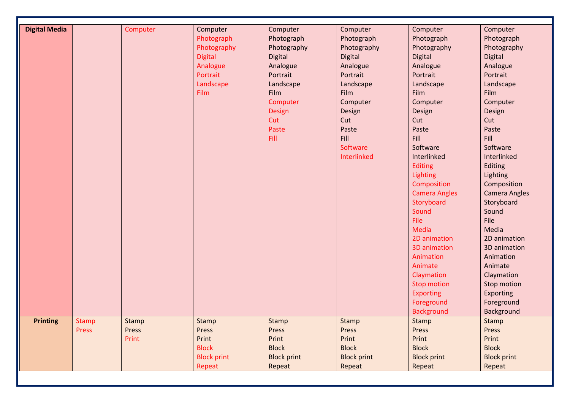| <b>Digital Media</b> |              | Computer | Computer           | Computer           | Computer           | Computer             | Computer             |
|----------------------|--------------|----------|--------------------|--------------------|--------------------|----------------------|----------------------|
|                      |              |          | Photograph         | Photograph         | Photograph         | Photograph           | Photograph           |
|                      |              |          | Photography        | Photography        | Photography        | Photography          | Photography          |
|                      |              |          | <b>Digital</b>     | <b>Digital</b>     | <b>Digital</b>     | Digital              | Digital              |
|                      |              |          | Analogue           | Analogue           | Analogue           | Analogue             | Analogue             |
|                      |              |          | Portrait           | Portrait           | Portrait           | Portrait             | Portrait             |
|                      |              |          | Landscape          | Landscape          | Landscape          | Landscape            | Landscape            |
|                      |              |          | Film               | Film               | Film               | Film                 | Film                 |
|                      |              |          |                    | Computer           | Computer           | Computer             | Computer             |
|                      |              |          |                    | Design             | Design             | Design               | Design               |
|                      |              |          |                    | Cut                | Cut                | Cut                  | Cut                  |
|                      |              |          |                    | Paste              | Paste              | Paste                | Paste                |
|                      |              |          |                    | Fill               | Fill               | Fill                 | Fill                 |
|                      |              |          |                    |                    | Software           | Software             | Software             |
|                      |              |          |                    |                    | Interlinked        | Interlinked          | Interlinked          |
|                      |              |          |                    |                    |                    | <b>Editing</b>       | Editing              |
|                      |              |          |                    |                    |                    | Lighting             | Lighting             |
|                      |              |          |                    |                    |                    | Composition          | Composition          |
|                      |              |          |                    |                    |                    | <b>Camera Angles</b> | <b>Camera Angles</b> |
|                      |              |          |                    |                    |                    | Storyboard           | Storyboard           |
|                      |              |          |                    |                    |                    | Sound                | Sound                |
|                      |              |          |                    |                    |                    | File                 | File                 |
|                      |              |          |                    |                    |                    | Media                | Media                |
|                      |              |          |                    |                    |                    | 2D animation         | 2D animation         |
|                      |              |          |                    |                    |                    | 3D animation         | 3D animation         |
|                      |              |          |                    |                    |                    | Animation            | Animation            |
|                      |              |          |                    |                    |                    | Animate              | Animate              |
|                      |              |          |                    |                    |                    | Claymation           | Claymation           |
|                      |              |          |                    |                    |                    | <b>Stop motion</b>   | Stop motion          |
|                      |              |          |                    |                    |                    | <b>Exporting</b>     | Exporting            |
|                      |              |          |                    |                    |                    | Foreground           | Foreground           |
|                      |              |          |                    |                    |                    | <b>Background</b>    | Background           |
| <b>Printing</b>      | <b>Stamp</b> | Stamp    | Stamp              | Stamp              | Stamp              | Stamp                | Stamp                |
|                      | <b>Press</b> | Press    | Press              | Press              | Press              | Press                | Press                |
|                      |              | Print    | Print              | Print              | Print              | Print                | Print                |
|                      |              |          | <b>Block</b>       | <b>Block</b>       | <b>Block</b>       | <b>Block</b>         | <b>Block</b>         |
|                      |              |          | <b>Block print</b> | <b>Block print</b> | <b>Block print</b> | <b>Block print</b>   | <b>Block print</b>   |
|                      |              |          | Repeat             | Repeat             | Repeat             | Repeat               | Repeat               |
|                      |              |          |                    |                    |                    |                      |                      |